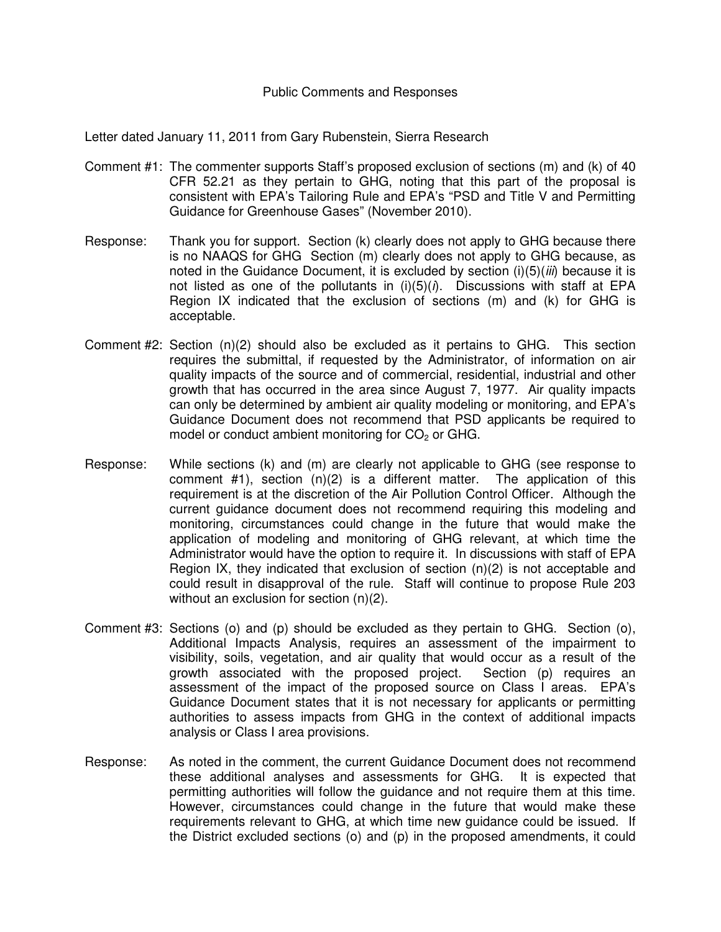## Public Comments and Responses

Letter dated January 11, 2011 from Gary Rubenstein, Sierra Research

- Comment #1: The commenter supports Staff's proposed exclusion of sections (m) and (k) of 40 CFR 52.21 as they pertain to GHG, noting that this part of the proposal is consistent with EPA's Tailoring Rule and EPA's "PSD and Title V and Permitting Guidance for Greenhouse Gases" (November 2010).
- Response: Thank you for support. Section (k) clearly does not apply to GHG because there is no NAAQS for GHG Section (m) clearly does not apply to GHG because, as noted in the Guidance Document, it is excluded by section  $(i)(5)(iii)$  because it is not listed as one of the pollutants in  $(i)(5)(i)$ . Discussions with staff at EPA Region IX indicated that the exclusion of sections (m) and (k) for GHG is acceptable.
- Comment #2: Section (n)(2) should also be excluded as it pertains to GHG. This section requires the submittal, if requested by the Administrator, of information on air quality impacts of the source and of commercial, residential, industrial and other growth that has occurred in the area since August 7, 1977. Air quality impacts can only be determined by ambient air quality modeling or monitoring, and EPA's Guidance Document does not recommend that PSD applicants be required to model or conduct ambient monitoring for  $CO<sub>2</sub>$  or GHG.
- Response: While sections (k) and (m) are clearly not applicable to GHG (see response to comment #1), section (n)(2) is a different matter. The application of this requirement is at the discretion of the Air Pollution Control Officer. Although the current guidance document does not recommend requiring this modeling and monitoring, circumstances could change in the future that would make the application of modeling and monitoring of GHG relevant, at which time the Administrator would have the option to require it. In discussions with staff of EPA Region IX, they indicated that exclusion of section (n)(2) is not acceptable and could result in disapproval of the rule. Staff will continue to propose Rule 203 without an exclusion for section (n)(2).
- Comment #3: Sections (o) and (p) should be excluded as they pertain to GHG. Section (o), Additional Impacts Analysis, requires an assessment of the impairment to visibility, soils, vegetation, and air quality that would occur as a result of the growth associated with the proposed project. Section (p) requires an assessment of the impact of the proposed source on Class I areas. EPA's Guidance Document states that it is not necessary for applicants or permitting authorities to assess impacts from GHG in the context of additional impacts analysis or Class I area provisions.
- Response: As noted in the comment, the current Guidance Document does not recommend these additional analyses and assessments for GHG. It is expected that permitting authorities will follow the guidance and not require them at this time. However, circumstances could change in the future that would make these requirements relevant to GHG, at which time new guidance could be issued. If the District excluded sections (o) and (p) in the proposed amendments, it could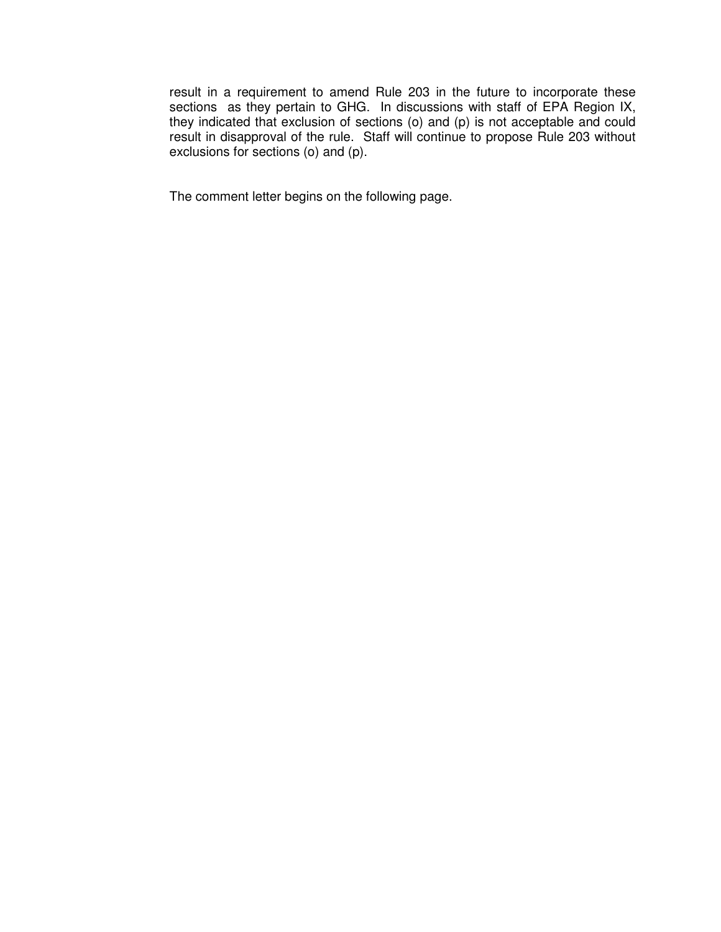result in a requirement to amend Rule 203 in the future to incorporate these sections as they pertain to GHG. In discussions with staff of EPA Region IX, they indicated that exclusion of sections (o) and (p) is not acceptable and could result in disapproval of the rule. Staff will continue to propose Rule 203 without exclusions for sections (o) and (p).

The comment letter begins on the following page.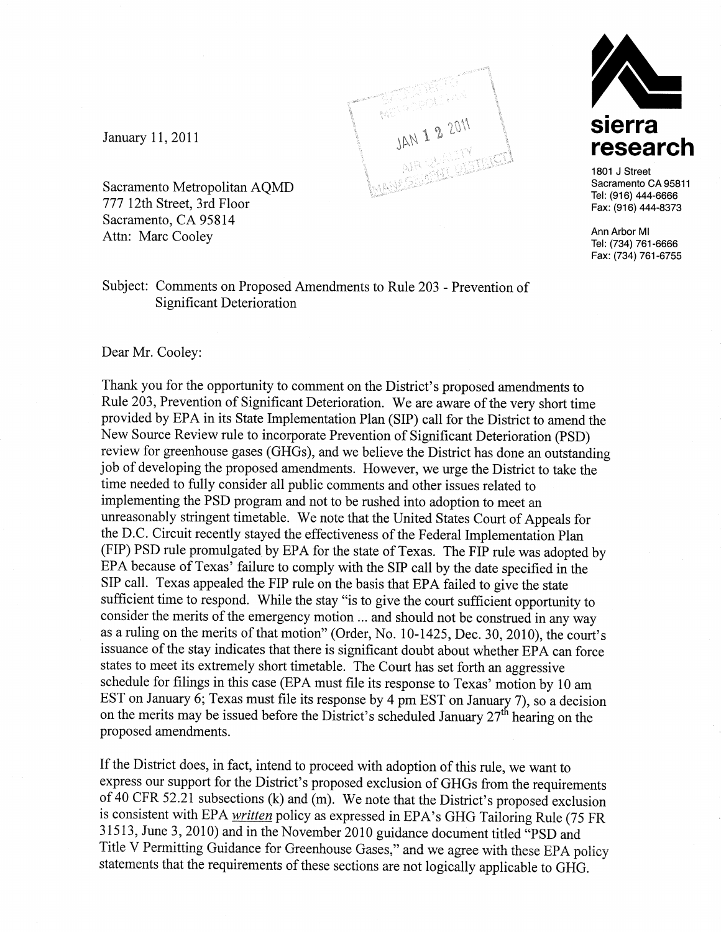

January 11, 2011

Sacramento Metropolitan AQMD 777 12th Street, 3rd Floor Sacramento, CA 95814 Attn: Marc Cooley

Subject: Comments on Proposed Amendments to Rule 203 - Prevention of **Significant Deterioration** 



Thank you for the opportunity to comment on the District's proposed amendments to Rule 203, Prevention of Significant Deterioration. We are aware of the very short time provided by EPA in its State Implementation Plan (SIP) call for the District to amend the New Source Review rule to incorporate Prevention of Significant Deterioration (PSD) review for greenhouse gases (GHGs), and we believe the District has done an outstanding job of developing the proposed amendments. However, we urge the District to take the time needed to fully consider all public comments and other issues related to implementing the PSD program and not to be rushed into adoption to meet an unreasonably stringent timetable. We note that the United States Court of Appeals for the D.C. Circuit recently stayed the effectiveness of the Federal Implementation Plan (FIP) PSD rule promulgated by EPA for the state of Texas. The FIP rule was adopted by EPA because of Texas' failure to comply with the SIP call by the date specified in the SIP call. Texas appealed the FIP rule on the basis that EPA failed to give the state sufficient time to respond. While the stay "is to give the court sufficient opportunity to consider the merits of the emergency motion ... and should not be construed in any way as a ruling on the merits of that motion" (Order, No. 10-1425, Dec. 30, 2010), the court's issuance of the stay indicates that there is significant doubt about whether EPA can force states to meet its extremely short timetable. The Court has set forth an aggressive schedule for filings in this case (EPA must file its response to Texas' motion by 10 am EST on January 6; Texas must file its response by 4 pm EST on January 7), so a decision on the merits may be issued before the District's scheduled January  $27<sup>th</sup>$  hearing on the proposed amendments.

If the District does, in fact, intend to proceed with adoption of this rule, we want to express our support for the District's proposed exclusion of GHGs from the requirements of 40 CFR 52.21 subsections (k) and  $(m)$ . We note that the District's proposed exclusion is consistent with EPA written policy as expressed in EPA's GHG Tailoring Rule (75 FR 31513, June 3, 2010) and in the November 2010 guidance document titled "PSD and Title V Permitting Guidance for Greenhouse Gases," and we agree with these EPA policy statements that the requirements of these sections are not logically applicable to GHG.



1801 J Street Sacramento CA 95811 Tel: (916) 444-6666 Fax: (916) 444-8373

Ann Arbor MI Tel: (734) 761-6666 Fax: (734) 761-6755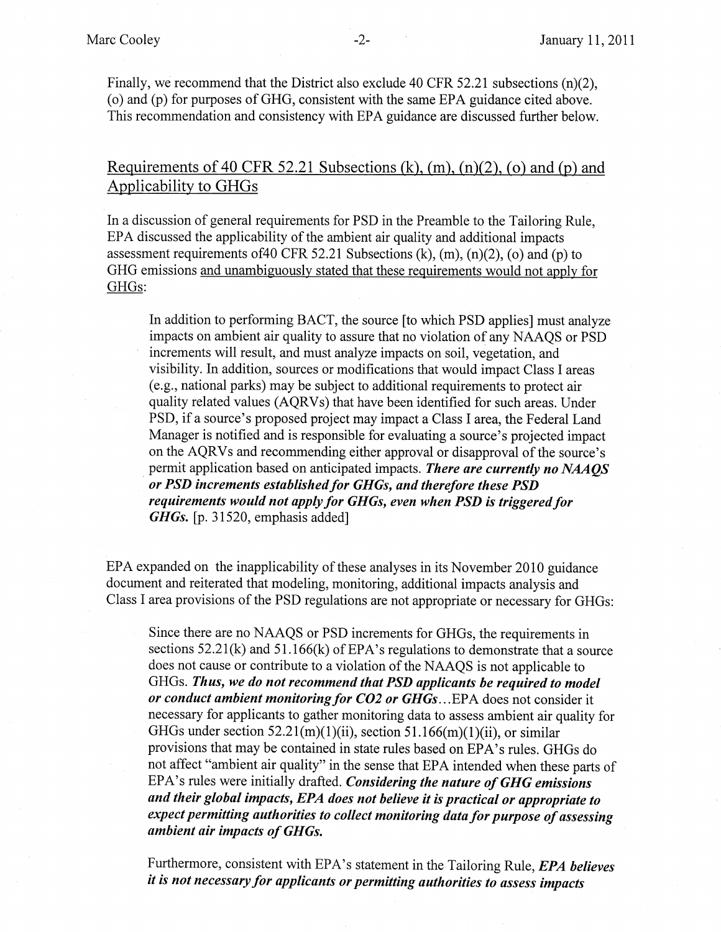Finally, we recommend that the District also exclude 40 CFR 52.21 subsections (n)(2), (o) and (p) for purposes of GHG, consistent with the same EPA guidance cited above. This recommendation and consistency with EPA guidance are discussed further below.

Requirements of 40 CFR 52.21 Subsections (k),  $(m)$ ,  $(n)(2)$ ,  $(o)$  and  $(p)$  and Applicability to GHGs

In a discussion of general requirements for PSD in the Preamble to the Tailoring Rule, EPA discussed the applicability of the ambient air quality and additional impacts assessment requirements of 40 CFR 52.21 Subsections (k),  $(m)$ ,  $(n)(2)$ ,  $(o)$  and  $(p)$  to GHG emissions and unambiguously stated that these requirements would not apply for GHGs:

In addition to performing BACT, the source [to which PSD applies] must analyze impacts on ambient air quality to assure that no violation of any NAAQS or PSD increments will result, and must analyze impacts on soil, vegetation, and visibility. In addition, sources or modifications that would impact Class I areas (e.g., national parks) may be subject to additional requirements to protect air quality related values (AQRVs) that have been identified for such areas. Under PSD, if a source's proposed project may impact a Class I area, the Federal Land Manager is notified and is responsible for evaluating a source's projected impact on the AQRVs and recommending either approval or disapproval of the source's permit application based on anticipated impacts. There are currently no NAAOS or PSD increments established for GHGs, and therefore these PSD requirements would not apply for GHGs, even when PSD is triggered for GHGs. [p. 31520, emphasis added]

EPA expanded on the inapplicability of these analyses in its November 2010 guidance document and reiterated that modeling, monitoring, additional impacts analysis and Class I area provisions of the PSD regulations are not appropriate or necessary for GHGs:

Since there are no NAAQS or PSD increments for GHGs, the requirements in sections  $52.21(k)$  and  $51.166(k)$  of EPA's regulations to demonstrate that a source does not cause or contribute to a violation of the NAAQS is not applicable to GHGs. Thus, we do not recommend that PSD applicants be required to model or conduct ambient monitoring for CO2 or GHGs...EPA does not consider it necessary for applicants to gather monitoring data to assess ambient air quality for GHGs under section 52.21(m)(1)(ii), section 51.166(m)(1)(ii), or similar provisions that may be contained in state rules based on EPA's rules. GHGs do not affect "ambient air quality" in the sense that EPA intended when these parts of EPA's rules were initially drafted. Considering the nature of GHG emissions and their global impacts, EPA does not believe it is practical or appropriate to expect permitting authorities to collect monitoring data for purpose of assessing ambient air impacts of GHGs.

Furthermore, consistent with EPA's statement in the Tailoring Rule, EPA believes it is not necessary for applicants or permitting authorities to assess impacts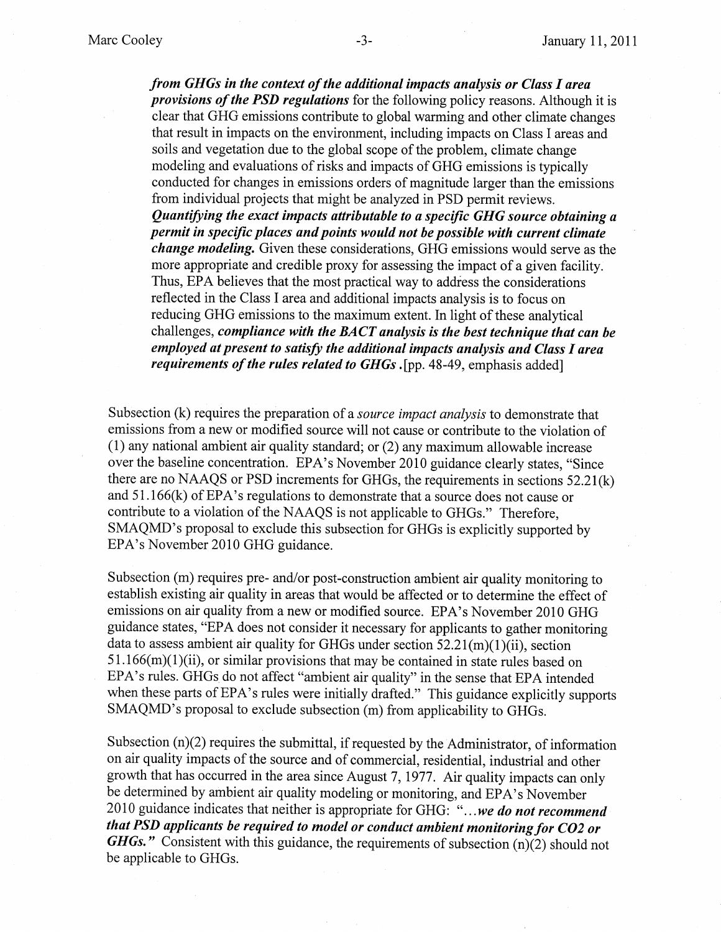from GHGs in the context of the additional impacts analysis or Class I area provisions of the PSD regulations for the following policy reasons. Although it is clear that GHG emissions contribute to global warming and other climate changes that result in impacts on the environment, including impacts on Class I areas and soils and vegetation due to the global scope of the problem, climate change modeling and evaluations of risks and impacts of GHG emissions is typically conducted for changes in emissions orders of magnitude larger than the emissions from individual projects that might be analyzed in PSD permit reviews. Quantifying the exact impacts attributable to a specific GHG source obtaining a permit in specific places and points would not be possible with current climate *change modeling.* Given these considerations, GHG emissions would serve as the more appropriate and credible proxy for assessing the impact of a given facility. Thus, EPA believes that the most practical way to address the considerations reflected in the Class I area and additional impacts analysis is to focus on reducing GHG emissions to the maximum extent. In light of these analytical challenges, compliance with the BACT analysis is the best technique that can be employed at present to satisfy the additional impacts analysis and Class I area requirements of the rules related to GHGs. [pp. 48-49, emphasis added]

Subsection (k) requires the preparation of a *source impact analysis* to demonstrate that emissions from a new or modified source will not cause or contribute to the violation of (1) any national ambient air quality standard; or (2) any maximum allowable increase over the baseline concentration. EPA's November 2010 guidance clearly states, "Since there are no NAAQS or PSD increments for GHGs, the requirements in sections 52.21(k) and  $51.166(k)$  of EPA's regulations to demonstrate that a source does not cause or contribute to a violation of the NAAQS is not applicable to GHGs." Therefore, SMAQMD's proposal to exclude this subsection for GHGs is explicitly supported by EPA's November 2010 GHG guidance.

Subsection (m) requires pre- and/or post-construction ambient air quality monitoring to establish existing air quality in areas that would be affected or to determine the effect of emissions on air quality from a new or modified source. EPA's November 2010 GHG guidance states, "EPA does not consider it necessary for applicants to gather monitoring data to assess ambient air quality for GHGs under section  $52.21(m)(1)(ii)$ , section  $51.166(m)(1)(ii)$ , or similar provisions that may be contained in state rules based on EPA's rules. GHGs do not affect "ambient air quality" in the sense that EPA intended when these parts of EPA's rules were initially drafted." This guidance explicitly supports SMAQMD's proposal to exclude subsection (m) from applicability to GHGs.

Subsection  $(n)(2)$  requires the submittal, if requested by the Administrator, of information on air quality impacts of the source and of commercial, residential, industrial and other growth that has occurred in the area since August 7, 1977. Air quality impacts can only be determined by ambient air quality modeling or monitoring, and EPA's November 2010 guidance indicates that neither is appropriate for GHG: "...we do not recommend that PSD applicants be required to model or conduct ambient monitoring for CO2 or **GHGs.**" Consistent with this guidance, the requirements of subsection  $(n)(2)$  should not be applicable to GHGs.